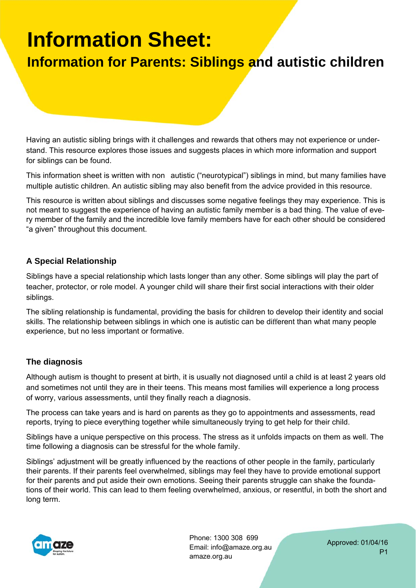# **Information Sheet:**

### **Information for Parents: Siblings and autistic children**

Having an autistic sibling brings with it challenges and rewards that others may not experience or understand. This resource explores those issues and suggests places in which more information and support for siblings can be found.

This information sheet is written with non autistic ("neurotypical") siblings in mind, but many families have multiple autistic children. An autistic sibling may also benefit from the advice provided in this resource.

This resource is written about siblings and discusses some negative feelings they may experience. This is not meant to suggest the experience of having an autistic family member is a bad thing. The value of every member of the family and the incredible love family members have for each other should be considered "a given" throughout this document.

### **A Special Relationship**

Siblings have a special relationship which lasts longer than any other. Some siblings will play the part of teacher, protector, or role model. A younger child will share their first social interactions with their older siblings.

The sibling relationship is fundamental, providing the basis for children to develop their identity and social skills. The relationship between siblings in which one is autistic can be different than what many people experience, but no less important or formative.

### **The diagnosis**

Although autism is thought to present at birth, it is usually not diagnosed until a child is at least 2 years old and sometimes not until they are in their teens. This means most families will experience a long process of worry, various assessments, until they finally reach a diagnosis.

The process can take years and is hard on parents as they go to appointments and assessments, read reports, trying to piece everything together while simultaneously trying to get help for their child.

Siblings have a unique perspective on this process. The stress as it unfolds impacts on them as well. The time following a diagnosis can be stressful for the whole family.

Siblings' adjustment will be greatly influenced by the reactions of other people in the family, particularly their parents. If their parents feel overwhelmed, siblings may feel they have to provide emotional support for their parents and put aside their own emotions. Seeing their parents struggle can shake the foundations of their world. This can lead to them feeling overwhelmed, anxious, or resentful, in both the short and long term.



Phone: 1300 308 699 Email: info@amaze.org.au amaze.org.au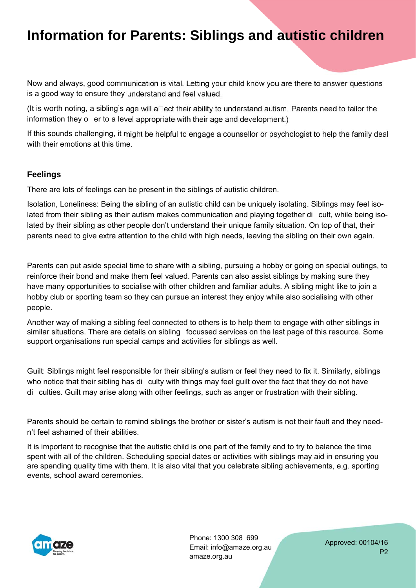Now and always, good communication is vital. Letting your child know you are there to answer questions is a good way to ensure they understand and feel valued.

(It is worth noting, a sibling's age will a $\square$ ect their ability to understand autism. Parents need to tailor the information they o er to a level appropriate with their age and development.)

If this sounds challenging, it might be helpful to engage a counsellor or psychologist to help the family deal with their emotions at this time.

#### **Feelings**

There are lots of feelings can be present in the siblings of autistic children.

Isolation, Loneliness: Being the sibling of an autistic child can be uniquely isolating. Siblings may feel isolated from their sibling as their autism makes communication and playing together dicult, while being isolated by their sibling as other people don't understand their unique family situation. On top of that, their parents need to give extra attention to the child with high needs, leaving the sibling on their own again.

Parents can put aside special time to share with a sibling, pursuing a hobby or going on special outings, to reinforce their bond and make them feel valued. Parents can also assist siblings by making sure they have many opportunities to socialise with other children and familiar adults. A sibling might like to join a hobby club or sporting team so they can pursue an interest they enjoy while also socialising with other people.

Another way of making a sibling feel connected to others is to help them to engage with other siblings in similar situations. There are details on sibling focussed services on the last page of this resource. Some support organisations run special camps and activities for siblings as well.

Guilt: Siblings might feel responsible for their sibling's autism or feel they need to fix it. Similarly, siblings who notice that their sibling has diculty with things may feel quilt over the fact that they do not have di culties. Guilt may arise along with other feelings, such as anger or frustration with their sibling.

Parents should be certain to remind siblings the brother or sister's autism is not their fault and they needn't feel ashamed of their abilities.

It is important to recognise that the autistic child is one part of the family and to try to balance the time spent with all of the children. Scheduling special dates or activities with siblings may aid in ensuring you are spending quality time with them. It is also vital that you celebrate sibling achievements, e.g. sporting events, school award ceremonies.



Phone: 1300 308 699 Email: info@amaze.org.au amaze.org.au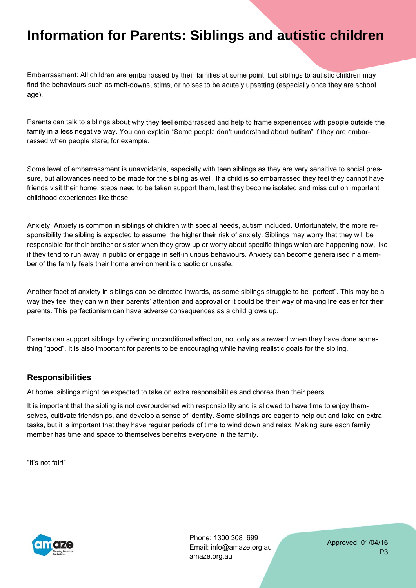Embarrassment: All children are embarrassed by their families at some point, but siblings to autistic children may find the behaviours such as melt-downs, stims, or noises to be acutely upsetting (especially once they are school age).

Parents can talk to siblings about why they feel embarrassed and help to frame experiences with people outside the family in a less negative way. You can explain "Some people don't understand about autism" if they are embarrassed when people stare, for example.

Some level of embarrassment is unavoidable, especially with teen siblings as they are very sensitive to social pressure, but allowances need to be made for the sibling as well. If a child is so embarrassed they feel they cannot have friends visit their home, steps need to be taken support them, lest they become isolated and miss out on important childhood experiences like these.

Anxiety: Anxiety is common in siblings of children with special needs, autism included. Unfortunately, the more responsibility the sibling is expected to assume, the higher their risk of anxiety. Siblings may worry that they will be responsible for their brother or sister when they grow up or worry about specific things which are happening now, like if they tend to run away in public or engage in self-injurious behaviours. Anxiety can become generalised if a member of the family feels their home environment is chaotic or unsafe.

Another facet of anxiety in siblings can be directed inwards, as some siblings struggle to be "perfect". This may be a way they feel they can win their parents' attention and approval or it could be their way of making life easier for their parents. This perfectionism can have adverse consequences as a child grows up.

Parents can support siblings by offering unconditional affection, not only as a reward when they have done something "good". It is also important for parents to be encouraging while having realistic goals for the sibling.

#### **Responsibilities**

At home, siblings might be expected to take on extra responsibilities and chores than their peers.

It is important that the sibling is not overburdened with responsibility and is allowed to have time to enjoy themselves, cultivate friendships, and develop a sense of identity. Some siblings are eager to help out and take on extra tasks, but it is important that they have regular periods of time to wind down and relax. Making sure each family member has time and space to themselves benefits everyone in the family.

"It's not fair!"



Phone: 1300 308 699 Email: info@amaze.org.au amaze.org.au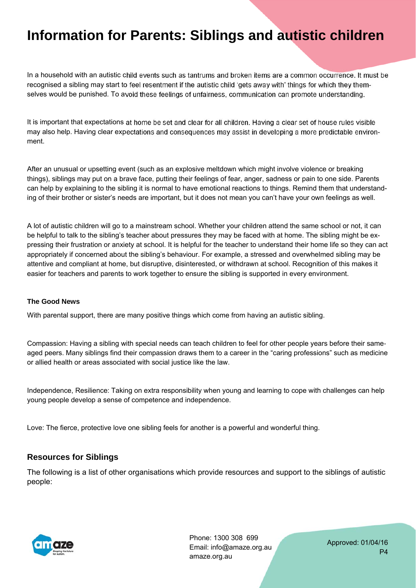In a household with an autistic child events such as tantrums and broken items are a common occurrence. It must be recognised a sibling may start to feel resentment if the autistic child 'gets away with' things for which they themselves would be punished. To avoid these feelings of unfairness, communication can promote understanding.

It is important that expectations at home be set and clear for all children. Having a clear set of house rules visible may also help. Having clear expectations and consequences may assist in developing a more predictable environment.

After an unusual or upsetting event (such as an explosive meltdown which might involve violence or breaking things), siblings may put on a brave face, putting their feelings of fear, anger, sadness or pain to one side. Parents can help by explaining to the sibling it is normal to have emotional reactions to things. Remind them that understanding of their brother or sister's needs are important, but it does not mean you can't have your own feelings as well.

A lot of autistic children will go to a mainstream school. Whether your children attend the same school or not, it can be helpful to talk to the sibling's teacher about pressures they may be faced with at home. The sibling might be expressing their frustration or anxiety at school. It is helpful for the teacher to understand their home life so they can act appropriately if concerned about the sibling's behaviour. For example, a stressed and overwhelmed sibling may be attentive and compliant at home, but disruptive, disinterested, or withdrawn at school. Recognition of this makes it easier for teachers and parents to work together to ensure the sibling is supported in every environment.

#### **The Good News**

With parental support, there are many positive things which come from having an autistic sibling.

Compassion: Having a sibling with special needs can teach children to feel for other people years before their sameaged peers. Many siblings find their compassion draws them to a career in the "caring professions" such as medicine or allied health or areas associated with social justice like the law.

Independence, Resilience: Taking on extra responsibility when young and learning to cope with challenges can help young people develop a sense of competence and independence.

Love: The fierce, protective love one sibling feels for another is a powerful and wonderful thing.

#### **Resources for Siblings**

The following is a list of other organisations which provide resources and support to the siblings of autistic people:



Phone: 1300 308 699 Email: info@amaze.org.au amaze.org.au